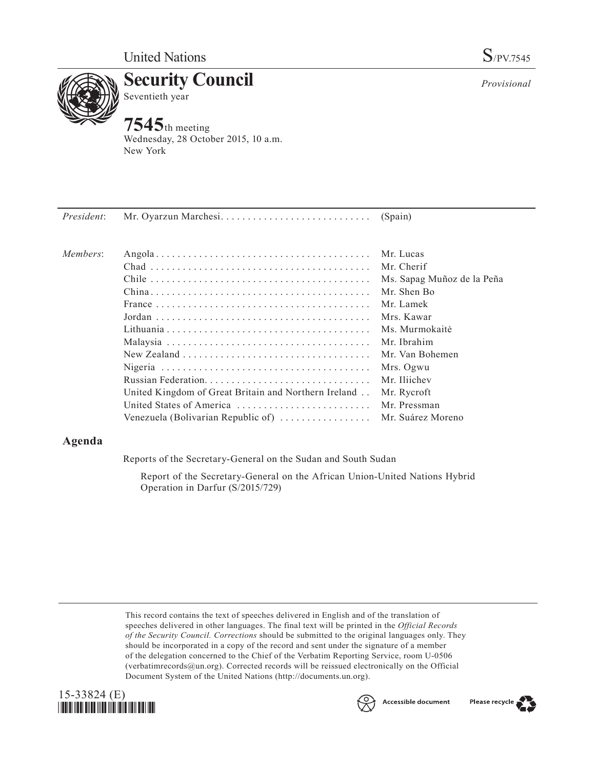

**Security Council** Seventieth year

# **7545**th meeting

Wednesday, 28 October 2015, 10 a.m. New York

| President: |                                                                                              | (Spain)                    |
|------------|----------------------------------------------------------------------------------------------|----------------------------|
| Members:   |                                                                                              | Mr. Lucas                  |
|            |                                                                                              | Mr. Cherif                 |
|            |                                                                                              | Ms. Sapag Muñoz de la Peña |
|            |                                                                                              | Mr. Shen Bo                |
|            | France $\ldots \ldots \ldots \ldots \ldots \ldots \ldots \ldots \ldots \ldots \ldots \ldots$ | Mr. Lamek                  |
|            |                                                                                              | Mrs. Kawar                 |
|            |                                                                                              | Ms. Murmokaitė             |
|            |                                                                                              | Mr. Ibrahim                |
|            |                                                                                              | Mr. Van Bohemen            |
|            |                                                                                              | Mrs. Ogwu                  |
|            |                                                                                              | Mr. Iliichev               |
|            | United Kingdom of Great Britain and Northern Ireland                                         | Mr. Rycroft                |
|            | United States of America                                                                     | Mr. Pressman               |
|            | Venezuela (Bolivarian Republic of)                                                           | Mr. Suárez Moreno          |
|            |                                                                                              |                            |

# **Agenda**

Reports of the Secretary-General on the Sudan and South Sudan

Report of the Secretary-General on the African Union-United Nations Hybrid Operation in Darfur (S/2015/729)

This record contains the text of speeches delivered in English and of the translation of speeches delivered in other languages. The final text will be printed in the *Official Records of the Security Council. Corrections* should be submitted to the original languages only. They should be incorporated in a copy of the record and sent under the signature of a member of the delegation concerned to the Chief of the Verbatim Reporting Service, room U-0506 (verbatimrecords $@un.org$ ). Corrected records will be reissued electronically on the Official Document System of the United Nations (http://documents.un.org).









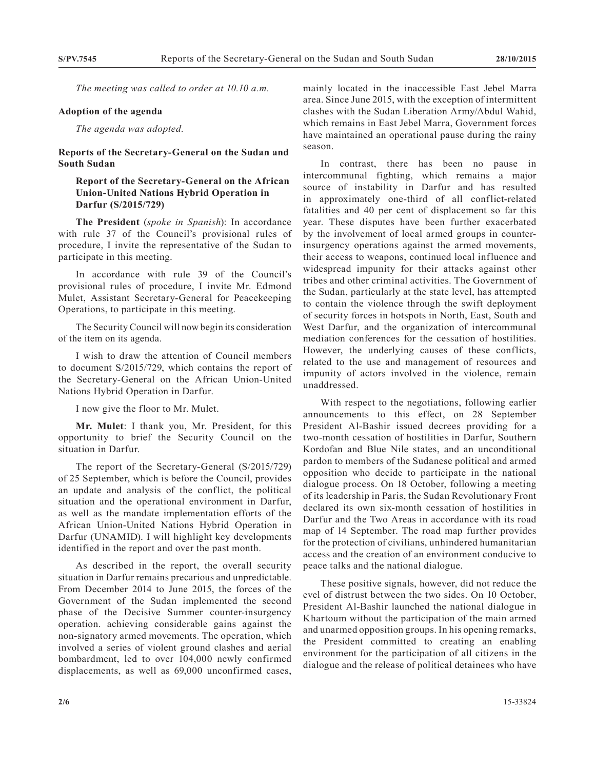*The meeting was called to order at 10.10 a.m.*

#### **Adoption of the agenda**

*The agenda was adopted.*

### **Reports of the Secretary-General on the Sudan and South Sudan**

## **Report of the Secretary-General on the African Union-United Nations Hybrid Operation in Darfur (S/2015/729)**

**The President** (*spoke in Spanish*): In accordance with rule 37 of the Council's provisional rules of procedure, I invite the representative of the Sudan to participate in this meeting.

In accordance with rule 39 of the Council's provisional rules of procedure, I invite Mr. Edmond Mulet, Assistant Secretary-General for Peacekeeping Operations, to participate in this meeting.

The Security Council will now begin its consideration of the item on its agenda.

I wish to draw the attention of Council members to document S/2015/729, which contains the report of the Secretary-General on the African Union-United Nations Hybrid Operation in Darfur.

I now give the floor to Mr. Mulet.

**Mr. Mulet**: I thank you, Mr. President, for this opportunity to brief the Security Council on the situation in Darfur.

The report of the Secretary-General (S/2015/729) of 25 September, which is before the Council, provides an update and analysis of the conflict, the political situation and the operational environment in Darfur, as well as the mandate implementation efforts of the African Union-United Nations Hybrid Operation in Darfur (UNAMID). I will highlight key developments identified in the report and over the past month.

As described in the report, the overall security situation in Darfur remains precarious and unpredictable. From December 2014 to June 2015, the forces of the Government of the Sudan implemented the second phase of the Decisive Summer counter-insurgency operation. achieving considerable gains against the non-signatory armed movements. The operation, which involved a series of violent ground clashes and aerial bombardment, led to over 104,000 newly confirmed displacements, as well as 69,000 unconfirmed cases,

mainly located in the inaccessible East Jebel Marra area. Since June 2015, with the exception of intermittent clashes with the Sudan Liberation Army/Abdul Wahid, which remains in East Jebel Marra, Government forces have maintained an operational pause during the rainy season.

In contrast, there has been no pause in intercommunal fighting, which remains a major source of instability in Darfur and has resulted in approximately one-third of all conflict-related fatalities and 40 per cent of displacement so far this year. These disputes have been further exacerbated by the involvement of local armed groups in counterinsurgency operations against the armed movements, their access to weapons, continued local influence and widespread impunity for their attacks against other tribes and other criminal activities. The Government of the Sudan, particularly at the state level, has attempted to contain the violence through the swift deployment of security forces in hotspots in North, East, South and West Darfur, and the organization of intercommunal mediation conferences for the cessation of hostilities. However, the underlying causes of these conflicts, related to the use and management of resources and impunity of actors involved in the violence, remain unaddressed.

With respect to the negotiations, following earlier announcements to this effect, on 28 September President Al-Bashir issued decrees providing for a two-month cessation of hostilities in Darfur, Southern Kordofan and Blue Nile states, and an unconditional pardon to members of the Sudanese political and armed opposition who decide to participate in the national dialogue process. On 18 October, following a meeting of its leadership in Paris, the Sudan Revolutionary Front declared its own six-month cessation of hostilities in Darfur and the Two Areas in accordance with its road map of 14 September. The road map further provides for the protection of civilians, unhindered humanitarian access and the creation of an environment conducive to peace talks and the national dialogue.

These positive signals, however, did not reduce the evel of distrust between the two sides. On 10 October, President Al-Bashir launched the national dialogue in Khartoum without the participation of the main armed and unarmed opposition groups. In his opening remarks, the President committed to creating an enabling environment for the participation of all citizens in the dialogue and the release of political detainees who have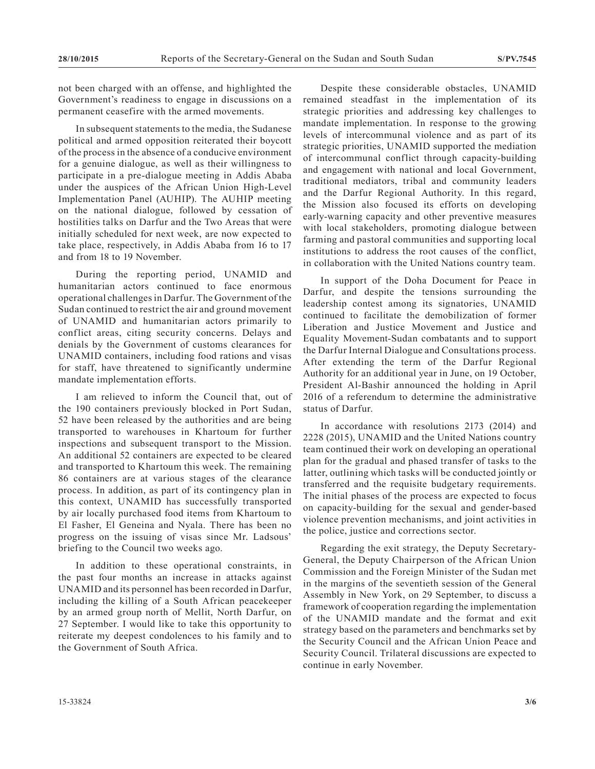not been charged with an offense, and highlighted the Government's readiness to engage in discussions on a permanent ceasefire with the armed movements.

In subsequent statements to the media, the Sudanese political and armed opposition reiterated their boycott of the process in the absence of a conducive environment for a genuine dialogue, as well as their willingness to participate in a pre-dialogue meeting in Addis Ababa under the auspices of the African Union High-Level Implementation Panel (AUHIP). The AUHIP meeting on the national dialogue, followed by cessation of hostilities talks on Darfur and the Two Areas that were initially scheduled for next week, are now expected to take place, respectively, in Addis Ababa from 16 to 17 and from 18 to 19 November.

During the reporting period, UNAMID and humanitarian actors continued to face enormous operational challenges in Darfur. The Government of the Sudan continued to restrict the air and ground movement of UNAMID and humanitarian actors primarily to conflict areas, citing security concerns. Delays and denials by the Government of customs clearances for UNAMID containers, including food rations and visas for staff, have threatened to significantly undermine mandate implementation efforts.

I am relieved to inform the Council that, out of the 190 containers previously blocked in Port Sudan, 52 have been released by the authorities and are being transported to warehouses in Khartoum for further inspections and subsequent transport to the Mission. An additional 52 containers are expected to be cleared and transported to Khartoum this week. The remaining 86 containers are at various stages of the clearance process. In addition, as part of its contingency plan in this context, UNAMID has successfully transported by air locally purchased food items from Khartoum to El Fasher, El Geneina and Nyala. There has been no progress on the issuing of visas since Mr. Ladsous' briefing to the Council two weeks ago.

In addition to these operational constraints, in the past four months an increase in attacks against UNAMID and its personnel has been recorded in Darfur, including the killing of a South African peacekeeper by an armed group north of Mellit, North Darfur, on 27 September. I would like to take this opportunity to reiterate my deepest condolences to his family and to the Government of South Africa.

Despite these considerable obstacles, UNAMID remained steadfast in the implementation of its strategic priorities and addressing key challenges to mandate implementation. In response to the growing levels of intercommunal violence and as part of its strategic priorities, UNAMID supported the mediation of intercommunal conflict through capacity-building and engagement with national and local Government, traditional mediators, tribal and community leaders and the Darfur Regional Authority. In this regard, the Mission also focused its efforts on developing early-warning capacity and other preventive measures with local stakeholders, promoting dialogue between farming and pastoral communities and supporting local institutions to address the root causes of the conflict, in collaboration with the United Nations country team.

In support of the Doha Document for Peace in Darfur, and despite the tensions surrounding the leadership contest among its signatories, UNAMID continued to facilitate the demobilization of former Liberation and Justice Movement and Justice and Equality Movement-Sudan combatants and to support the Darfur Internal Dialogue and Consultations process. After extending the term of the Darfur Regional Authority for an additional year in June, on 19 October, President Al-Bashir announced the holding in April 2016 of a referendum to determine the administrative status of Darfur.

In accordance with resolutions 2173 (2014) and 2228 (2015), UNAMID and the United Nations country team continued their work on developing an operational plan for the gradual and phased transfer of tasks to the latter, outlining which tasks will be conducted jointly or transferred and the requisite budgetary requirements. The initial phases of the process are expected to focus on capacity-building for the sexual and gender-based violence prevention mechanisms, and joint activities in the police, justice and corrections sector.

Regarding the exit strategy, the Deputy Secretary-General, the Deputy Chairperson of the African Union Commission and the Foreign Minister of the Sudan met in the margins of the seventieth session of the General Assembly in New York, on 29 September, to discuss a framework of cooperation regarding the implementation of the UNAMID mandate and the format and exit strategy based on the parameters and benchmarks set by the Security Council and the African Union Peace and Security Council. Trilateral discussions are expected to continue in early November.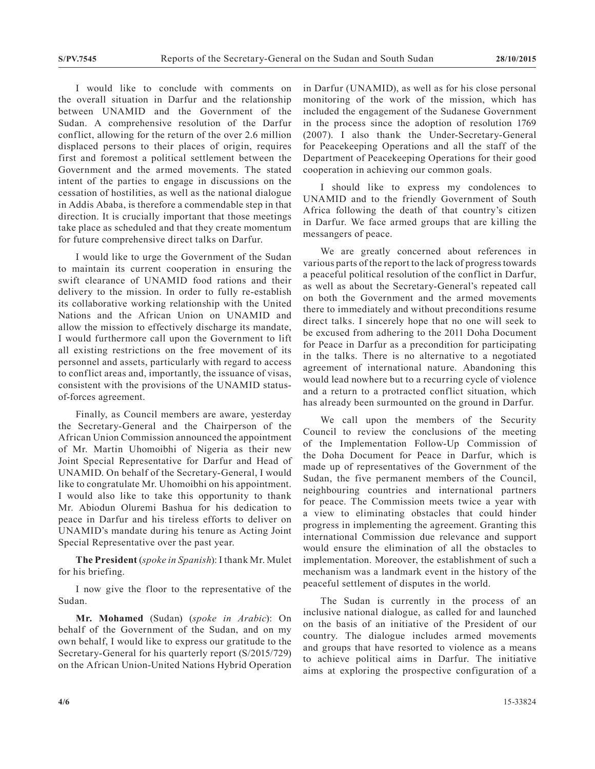I would like to conclude with comments on the overall situation in Darfur and the relationship between UNAMID and the Government of the Sudan. A comprehensive resolution of the Darfur conflict, allowing for the return of the over 2.6 million displaced persons to their places of origin, requires first and foremost a political settlement between the Government and the armed movements. The stated intent of the parties to engage in discussions on the cessation of hostilities, as well as the national dialogue in Addis Ababa, is therefore a commendable step in that direction. It is crucially important that those meetings take place as scheduled and that they create momentum for future comprehensive direct talks on Darfur.

I would like to urge the Government of the Sudan to maintain its current cooperation in ensuring the swift clearance of UNAMID food rations and their delivery to the mission. In order to fully re-establish its collaborative working relationship with the United Nations and the African Union on UNAMID and allow the mission to effectively discharge its mandate, I would furthermore call upon the Government to lift all existing restrictions on the free movement of its personnel and assets, particularly with regard to access to conflict areas and, importantly, the issuance of visas, consistent with the provisions of the UNAMID statusof-forces agreement.

Finally, as Council members are aware, yesterday the Secretary-General and the Chairperson of the African Union Commission announced the appointment of Mr. Martin Uhomoibhi of Nigeria as their new Joint Special Representative for Darfur and Head of UNAMID. On behalf of the Secretary-General, I would like to congratulate Mr. Uhomoibhi on his appointment. I would also like to take this opportunity to thank Mr. Abiodun Oluremi Bashua for his dedication to peace in Darfur and his tireless efforts to deliver on UNAMID's mandate during his tenure as Acting Joint Special Representative over the past year.

**The President** (*spoke in Spanish*): I thank Mr. Mulet for his briefing.

I now give the floor to the representative of the Sudan.

**Mr. Mohamed** (Sudan) (*spoke in Arabic*): On behalf of the Government of the Sudan, and on my own behalf, I would like to express our gratitude to the Secretary-General for his quarterly report (S/2015/729) on the African Union-United Nations Hybrid Operation in Darfur (UNAMID), as well as for his close personal monitoring of the work of the mission, which has included the engagement of the Sudanese Government in the process since the adoption of resolution 1769 (2007). I also thank the Under-Secretary-General for Peacekeeping Operations and all the staff of the Department of Peacekeeping Operations for their good cooperation in achieving our common goals.

I should like to express my condolences to UNAMID and to the friendly Government of South Africa following the death of that country's citizen in Darfur. We face armed groups that are killing the messangers of peace.

We are greatly concerned about references in various parts of the report to the lack of progress towards a peaceful political resolution of the conflict in Darfur, as well as about the Secretary-General's repeated call on both the Government and the armed movements there to immediately and without preconditions resume direct talks. I sincerely hope that no one will seek to be excused from adhering to the 2011 Doha Document for Peace in Darfur as a precondition for participating in the talks. There is no alternative to a negotiated agreement of international nature. Abandoning this would lead nowhere but to a recurring cycle of violence and a return to a protracted conflict situation, which has already been surmounted on the ground in Darfur.

We call upon the members of the Security Council to review the conclusions of the meeting of the Implementation Follow-Up Commission of the Doha Document for Peace in Darfur, which is made up of representatives of the Government of the Sudan, the five permanent members of the Council, neighbouring countries and international partners for peace. The Commission meets twice a year with a view to eliminating obstacles that could hinder progress in implementing the agreement. Granting this international Commission due relevance and support would ensure the elimination of all the obstacles to implementation. Moreover, the establishment of such a mechanism was a landmark event in the history of the peaceful settlement of disputes in the world.

The Sudan is currently in the process of an inclusive national dialogue, as called for and launched on the basis of an initiative of the President of our country. The dialogue includes armed movements and groups that have resorted to violence as a means to achieve political aims in Darfur. The initiative aims at exploring the prospective configuration of a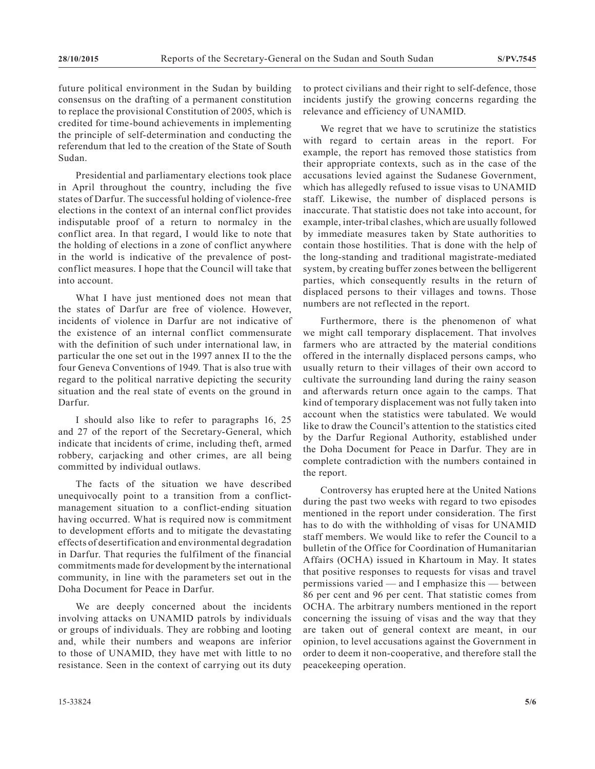future political environment in the Sudan by building consensus on the drafting of a permanent constitution to replace the provisional Constitution of 2005, which is credited for time-bound achievements in implementing the principle of self-determination and conducting the referendum that led to the creation of the State of South Sudan.

Presidential and parliamentary elections took place in April throughout the country, including the five states of Darfur. The successful holding of violence-free elections in the context of an internal conflict provides indisputable proof of a return to normalcy in the conflict area. In that regard, I would like to note that the holding of elections in a zone of conflict anywhere in the world is indicative of the prevalence of postconflict measures. I hope that the Council will take that into account.

What I have just mentioned does not mean that the states of Darfur are free of violence. However, incidents of violence in Darfur are not indicative of the existence of an internal conflict commensurate with the definition of such under international law, in particular the one set out in the 1997 annex II to the the four Geneva Conventions of 1949. That is also true with regard to the political narrative depicting the security situation and the real state of events on the ground in Darfur.

I should also like to refer to paragraphs 16, 25 and 27 of the report of the Secretary-General, which indicate that incidents of crime, including theft, armed robbery, carjacking and other crimes, are all being committed by individual outlaws.

The facts of the situation we have described unequivocally point to a transition from a conflictmanagement situation to a conflict-ending situation having occurred. What is required now is commitment to development efforts and to mitigate the devastating effects of desertification and environmental degradation in Darfur. That requries the fulfilment of the financial commitments made for development by the international community, in line with the parameters set out in the Doha Document for Peace in Darfur.

We are deeply concerned about the incidents involving attacks on UNAMID patrols by individuals or groups of individuals. They are robbing and looting and, while their numbers and weapons are inferior to those of UNAMID, they have met with little to no resistance. Seen in the context of carrying out its duty to protect civilians and their right to self-defence, those incidents justify the growing concerns regarding the relevance and efficiency of UNAMID.

We regret that we have to scrutinize the statistics with regard to certain areas in the report. For example, the report has removed those statistics from their appropriate contexts, such as in the case of the accusations levied against the Sudanese Government, which has allegedly refused to issue visas to UNAMID staff. Likewise, the number of displaced persons is inaccurate. That statistic does not take into account, for example, inter-tribal clashes, which are usually followed by immediate measures taken by State authorities to contain those hostilities. That is done with the help of the long-standing and traditional magistrate-mediated system, by creating buffer zones between the belligerent parties, which consequently results in the return of displaced persons to their villages and towns. Those numbers are not reflected in the report.

Furthermore, there is the phenomenon of what we might call temporary displacement. That involves farmers who are attracted by the material conditions offered in the internally displaced persons camps, who usually return to their villages of their own accord to cultivate the surrounding land during the rainy season and afterwards return once again to the camps. That kind of temporary displacement was not fully taken into account when the statistics were tabulated. We would like to draw the Council's attention to the statistics cited by the Darfur Regional Authority, established under the Doha Document for Peace in Darfur. They are in complete contradiction with the numbers contained in the report.

Controversy has erupted here at the United Nations during the past two weeks with regard to two episodes mentioned in the report under consideration. The first has to do with the withholding of visas for UNAMID staff members. We would like to refer the Council to a bulletin of the Office for Coordination of Humanitarian Affairs (OCHA) issued in Khartoum in May. It states that positive responses to requests for visas and travel permissions varied — and I emphasize this — between 86 per cent and 96 per cent. That statistic comes from OCHA. The arbitrary numbers mentioned in the report concerning the issuing of visas and the way that they are taken out of general context are meant, in our opinion, to level accusations against the Government in order to deem it non-cooperative, and therefore stall the peacekeeping operation.